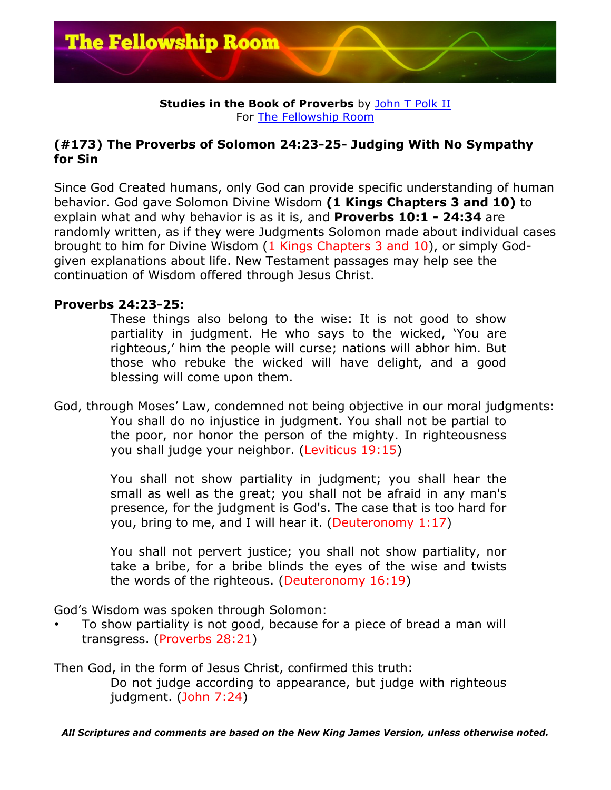

### **Studies in the Book of Proverbs** by John T Polk II For The Fellowship Room

# **(#173) The Proverbs of Solomon 24:23-25- Judging With No Sympathy for Sin**

Since God Created humans, only God can provide specific understanding of human behavior. God gave Solomon Divine Wisdom **(1 Kings Chapters 3 and 10)** to explain what and why behavior is as it is, and **Proverbs 10:1 - 24:34** are randomly written, as if they were Judgments Solomon made about individual cases brought to him for Divine Wisdom (1 Kings Chapters 3 and 10), or simply Godgiven explanations about life. New Testament passages may help see the continuation of Wisdom offered through Jesus Christ.

# **Proverbs 24:23-25:**

These things also belong to the wise: It is not good to show partiality in judgment. He who says to the wicked, 'You are righteous,' him the people will curse; nations will abhor him. But those who rebuke the wicked will have delight, and a good blessing will come upon them.

God, through Moses' Law, condemned not being objective in our moral judgments: You shall do no injustice in judgment. You shall not be partial to the poor, nor honor the person of the mighty. In righteousness you shall judge your neighbor. (Leviticus 19:15)

> You shall not show partiality in judgment; you shall hear the small as well as the great; you shall not be afraid in any man's presence, for the judgment is God's. The case that is too hard for you, bring to me, and I will hear it. (Deuteronomy 1:17)

> You shall not pervert justice; you shall not show partiality, nor take a bribe, for a bribe blinds the eyes of the wise and twists the words of the righteous. (Deuteronomy 16:19)

God's Wisdom was spoken through Solomon:

• To show partiality is not good, because for a piece of bread a man will transgress. (Proverbs 28:21)

Then God, in the form of Jesus Christ, confirmed this truth: Do not judge according to appearance, but judge with righteous judgment. (John 7:24)